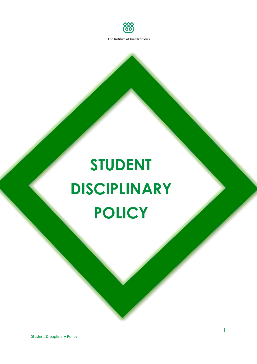

# **STUDENT DISCIPLINARY POLICY**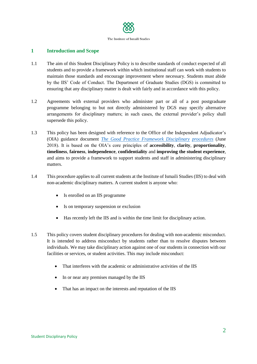

# **1 Introduction and Scope**

- 1.1 The aim of this Student Disciplinary Policy is to describe standards of conduct expected of all students and to provide a framework within which institutional staff can work with students to maintain those standards and encourage improvement where necessary. Students must abide by the IIS' Code of Conduct. The Department of Graduate Studies (DGS) is committed to ensuring that any disciplinary matter is dealt with fairly and in accordance with this policy.
- 1.2 Agreements with external providers who administer part or all of a post postgraduate programme belonging to but not directly administered by DGS may specify alternative arrangements for disciplinary matters; in such cases, the external provider's policy shall supersede this policy.
- 1.3 This policy has been designed with reference to the Office of the Independent Adjudicator's (OIA) guidance document *[The Good Practice Framework Disciplinary](http://www.oiahe.org.uk/media/123221/gpf-disciplinary-procedures-consultation-2018.pdf) [procedures](http://www.oiahe.org.uk/media/123221/gpf-disciplinary-procedures-consultation-2018.pdf)* (June 2018). It is based on the OIA's core principles of **accessibility**, **clarity**, **proportionality**, **timeliness**, **fairness**, **independence**, **confidentiality** and **improving the student experience**, and aims to provide a framework to support students and staff in administering disciplinary matters.
- 1.4 This procedure applies to all current students at the Institute of Ismaili Studies (IIS) to deal with non-academic disciplinary matters. A current student is anyone who:
	- Is enrolled on an IIS programme
	- Is on temporary suspension or exclusion
	- Has recently left the IIS and is within the time limit for disciplinary action.
- 1.5 This policy covers student disciplinary procedures for dealing with non-academic misconduct. It is intended to address misconduct by students rather than to resolve disputes between individuals. We may take disciplinary action against one of our students in connection with our facilities or services, or student activities. This may include misconduct:
	- That interferes with the academic or administrative activities of the IIS
	- In or near any premises managed by the IIS
	- That has an impact on the interests and reputation of the IIS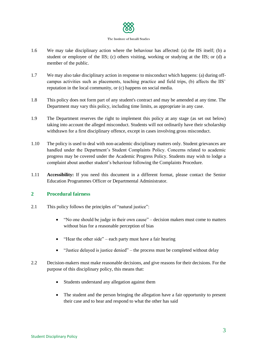

- 1.6 We may take disciplinary action where the behaviour has affected: (a) the IIS itself; (b) a student or employee of the IIS; (c) others visiting, working or studying at the IIS; or (d) a member of the public.
- 1.7 We may also take disciplinary action in response to misconduct which happens: (a) during offcampus activities such as placements, teaching practice and field trips, (b) affects the IIS' reputation in the local community, or (c) happens on social media.
- 1.8 This policy does not form part of any student's contract and may be amended at any time. The Department may vary this policy, including time limits, as appropriate in any case.
- 1.9 The Department reserves the right to implement this policy at any stage (as set out below) taking into account the alleged misconduct. Students will not ordinarily have their scholarship withdrawn for a first disciplinary offence, except in cases involving gross misconduct.
- 1.10 The policy is used to deal with non-academic disciplinary matters only. Student grievances are handled under the Department's Student Complaints Policy. Concerns related to academic progress may be covered under the Academic Progress Policy. Students may wish to lodge a complaint about another student's behaviour following the Complaints Procedure.
- 1.11 **Accessibility:** If you need this document in a different format, please contact the Senior Education Programmes Officer or Departmental Administrator.

## **2 Procedural fairness**

- 2.1 This policy follows the principles of "natural justice":
	- "No one should be judge in their own cause" decision makers must come to matters without bias for a reasonable perception of bias
	- $\bullet$  "Hear the other side" each party must have a fair hearing
	- "Justice delayed is justice denied" the process must be completed without delay
- 2.2 Decision-makers must make reasonable decisions, and give reasons for their decisions. For the purpose of this disciplinary policy, this means that:
	- Students understand any allegation against them
	- The student and the person bringing the allegation have a fair opportunity to present their case and to hear and respond to what the other has said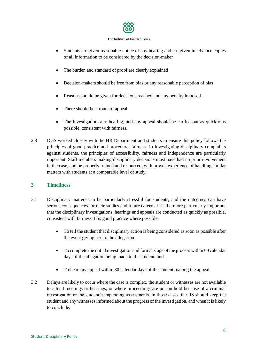

- Students are given reasonable notice of any hearing and are given in advance copies of all information to be considered by the decision-maker
- The burden and standard of proof are clearly explained
- Decision-makers should be free from bias or any reasonable perception of bias
- Reasons should be given for decisions reached and any penalty imposed
- There should be a route of appeal
- The investigation, any hearing, and any appeal should be carried out as quickly as possible, consistent with fairness.
- 2.3 DGS worked closely with the HR Department and students to ensure this policy follows the principles of good practice and procedural fairness. In investigating disciplinary complaints against students, the principles of accessibility, fairness and independence are particularly important. Staff members making disciplinary decisions must have had no prior involvement in the case, and be properly trained and resourced, with proven experience of handling similar matters with students at a comparable level of study.

## **3 Timeliness**

- 3.1 Disciplinary matters can be particularly stressful for students, and the outcomes can have serious consequences for their studies and future careers. It is therefore particularly important that the disciplinary investigations, hearings and appeals are conducted as quickly as possible, consistent with fairness. It is good practice where possible:
	- To tell the student that disciplinary action is being considered as soon as possible after the event giving rise to the allegation
	- To complete the initial investigation and formal stage of the process within 60 calendar days of the allegation being made to the student, and
	- To hear any appeal within 30 calendar days of the student making the appeal.
- 3.2 Delays are likely to occur where the case is complex, the student or witnesses are not available to attend meetings or hearings, or where proceedings are put on hold because of a criminal investigation or the student's impending assessments. In those cases, the IIS should keep the student and any witnesses informed about the progress of the investigation, and when it is likely to conclude.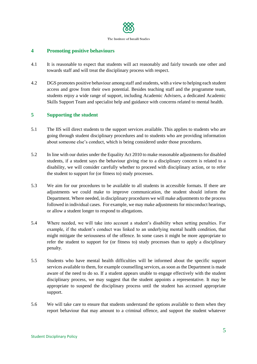

# **4 Promoting positive behaviours**

- 4.1 It is reasonable to expect that students will act reasonably and fairly towards one other and towards staff and will treat the disciplinary process with respect.
- 4.2 DGS promotes positive behaviour among staff and students, with a view to helping each student access and grow from their own potential. Besides teaching staff and the programme team, students enjoy a wide range of support, including Academic Advisers, a dedicated Academic Skills Support Team and specialist help and guidance with concerns related to mental health.

## **5 Supporting the student**

- 5.1 The IIS will direct students to the support services available. This applies to students who are going through student disciplinary procedures and to students who are providing information about someone else's conduct, which is being considered under those procedures.
- 5.2 In line with our duties under the Equality Act 2010 to make reasonable adjustments for disabled students, if a student says the behaviour giving rise to a disciplinary concern is related to a disability, we will consider carefully whether to proceed with disciplinary action, or to refer the student to support for (or fitness to) study processes.
- 5.3 We aim for our procedures to be available to all students in accessible formats. If there are adjustments we could make to improve communication, the student should inform the Department. Where needed, in disciplinary procedures we will make adjustments to the process followed in individual cases. For example, we may make adjustments for misconduct hearings, or allow a student longer to respond to allegations.
- 5.4 Where needed, we will take into account a student's disability when setting penalties. For example, if the student's conduct was linked to an underlying mental health condition, that might mitigate the seriousness of the offence. In some cases it might be more appropriate to refer the student to support for (or fitness to) study processes than to apply a disciplinary penalty.
- 5.5 Students who have mental health difficulties will be informed about the specific support services available to them, for example counselling services, as soon as the Department is made aware of the need to do so. If a student appears unable to engage effectively with the student disciplinary process, we may suggest that the student appoints a representative. It may be appropriate to suspend the disciplinary process until the student has accessed appropriate support.
- 5.6 We will take care to ensure that students understand the options available to them when they report behaviour that may amount to a criminal offence, and support the student whatever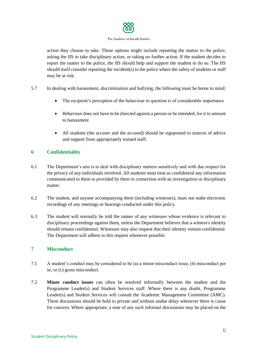

action they choose to take. Those options might include reporting the matter to the police, asking the IIS to take disciplinary action, or taking no further action. If the student decides to report the matter to the police, the IIS should help and support the student to do so. The IIS should itself consider reporting the incident(s) to the police where the safety of students or staff may be at risk.

- 5.7 In dealing with harassment, discrimination and bullying, the following must be borne in mind:
	- The recipient's perception of the behaviour in question is of considerable importance
	- Behaviour does not have to be directed against a person or be intended, for it to amount to harassment
	- All students (the accuser and the accused) should be signposted to sources of advice and support from appropriately trained staff.

# **6 Confidentiality**

- 6.1 The Department's aim is to deal with disciplinary matters sensitively and with due respect for the privacy of any individuals involved. All students must treat as confidential any information communicated to them or provided by them in connection with an investigation or disciplinary matter.
- 6.2 The student, and anyone accompanying them (including witnesses), must not make electronic recordings of any meetings or hearings conducted under this policy.
- 6.3 The student will normally be told the names of any witnesses whose evidence is relevant to disciplinary proceedings against them, unless the Department believes that a witness's identity should remain confidential. Witnesses may also request that their identity remain confidential. The Department will adhere to this request whenever possible.

## **7 Misconduct**

- 7.1 A student's conduct may be considered to be (a) a minor misconduct issue, (b) misconduct per se, or (c) gross misconduct.
- 7.2 **Minor conduct issues** can often be resolved informally between the student and the Programme Leader(s) and Student Services staff. Where there is any doubt, Programme Leader(s) and Student Services will consult the Academic Management Committee (AMC). These discussions should be held in private and without undue delay whenever there is cause for concern. Where appropriate, a note of any such informal discussions may be placed on the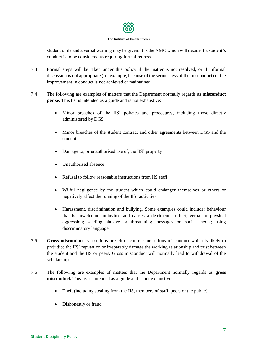

student's file and a verbal warning may be given. It is the AMC which will decide if a student's conduct is to be considered as requiring formal redress.

- 7.3 Formal steps will be taken under this policy if the matter is not resolved, or if informal discussion is not appropriate (for example, because of the seriousness of the misconduct) or the improvement in conduct is not achieved or maintained.
- 7.4 The following are examples of matters that the Department normally regards as **misconduct per se.** This list is intended as a guide and is not exhaustive:
	- Minor breaches of the IIS' policies and procedures, including those directly administered by DGS
	- Minor breaches of the student contract and other agreements between DGS and the student
	- Damage to, or unauthorised use of, the IIS' property
	- Unauthorised absence
	- Refusal to follow reasonable instructions from IIS staff
	- Wilful negligence by the student which could endanger themselves or others or negatively affect the running of the IIS' activities
	- Harassment, discrimination and bullying. Some examples could include: behaviour that is unwelcome, uninvited and causes a detrimental effect; verbal or physical aggression; sending abusive or threatening messages on social media; using discriminatory language.
- 7.5 **Gross misconduct** is a serious breach of contract or serious misconduct which is likely to prejudice the IIS' reputation or irreparably damage the working relationship and trust between the student and the IIS or peers. Gross misconduct will normally lead to withdrawal of the scholarship.
- 7.6 The following are examples of matters that the Department normally regards as **gross misconduct.** This list is intended as a guide and is not exhaustive:
	- Theft (including stealing from the IIS, members of staff, peers or the public)
	- Dishonestly or fraud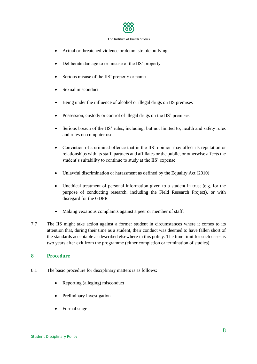

- Actual or threatened violence or demonstrable bullying
- Deliberate damage to or misuse of the IIS' property
- Serious misuse of the IIS' property or name
- Sexual misconduct
- Being under the influence of alcohol or illegal drugs on IIS premises
- Possession, custody or control of illegal drugs on the IIS' premises
- Serious breach of the IIS' rules, including, but not limited to, health and safety rules and rules on computer use
- Conviction of a criminal offence that in the IIS' opinion may affect its reputation or relationships with its staff, partners and affiliates or the public, or otherwise affects the student's suitability to continue to study at the IIS' expense
- Unlawful discrimination or harassment as defined by the Equality Act (2010)
- Unethical treatment of personal information given to a student in trust (e.g. for the purpose of conducting research, including the Field Research Project), or with disregard for the GDPR
- Making vexatious complaints against a peer or member of staff.
- 7.7 The IIS might take action against a former student in circumstances where it comes to its attention that, during their time as a student, their conduct was deemed to have fallen short of the standards acceptable as described elsewhere in this policy. The time limit for such cases is two years after exit from the programme (either completion or termination of studies).

## **8 Procedure**

- 8.1 The basic procedure for disciplinary matters is as follows:
	- Reporting (alleging) misconduct
	- Preliminary investigation
	- Formal stage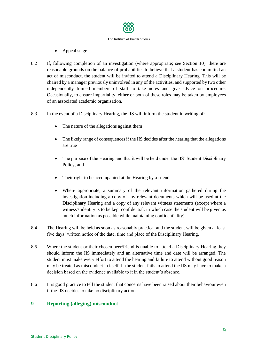

- Appeal stage
- 8.2 If, following completion of an investigation (where appropriate; see Section 10), there are reasonable grounds on the balance of probabilities to believe that a student has committed an act of misconduct, the student will be invited to attend a Disciplinary Hearing. This will be chaired by a manager previously uninvolved in any of the activities, and supported by two other independently trained members of staff to take notes and give advice on procedure. Occasionally, to ensure impartiality, either or both of these roles may be taken by employees of an associated academic organisation.
- 8.3 In the event of a Disciplinary Hearing, the IIS will inform the student in writing of:
	- The nature of the allegations against them
	- The likely range of consequences if the IIS decides after the hearing that the allegations are true
	- The purpose of the Hearing and that it will be held under the IIS' Student Disciplinary Policy, and
	- Their right to be accompanied at the Hearing by a friend
	- Where appropriate, a summary of the relevant information gathered during the investigation including a copy of any relevant documents which will be used at the Disciplinary Hearing and a copy of any relevant witness statements (except where a witness's identity is to be kept confidential, in which case the student will be given as much information as possible while maintaining confidentiality).
- 8.4 The Hearing will be held as soon as reasonably practical and the student will be given at least five days' written notice of the date, time and place of the Disciplinary Hearing.
- 8.5 Where the student or their chosen peer/friend is unable to attend a Disciplinary Hearing they should inform the IIS immediately and an alternative time and date will be arranged. The student must make every effort to attend the hearing and failure to attend without good reason may be treated as misconduct in itself. If the student fails to attend the IIS may have to make a decision based on the evidence available to it in the student's absence.
- 8.6 It is good practice to tell the student that concerns have been raised about their behaviour even if the IIS decides to take no disciplinary action.

## **9 Reporting (alleging) misconduct**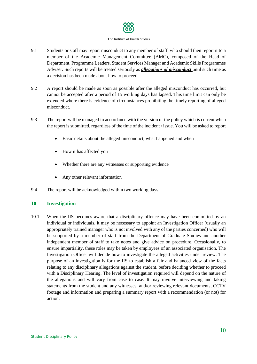

- 9.1 Students or staff may report misconduct to any member of staff, who should then report it to a member of the Academic Management Committee (AMC), composed of the Head of Department, Programme Leaders, Student Services Manager and Academic Skills Programmes Adviser. Such reports will be treated seriously as *allegations of misconduct* until such time as a decision has been made about how to proceed.
- 9.2 A report should be made as soon as possible after the alleged misconduct has occurred, but cannot be accepted after a period of 15 working days has lapsed. This time limit can only be extended where there is evidence of circumstances prohibiting the timely reporting of alleged misconduct.
- 9.3 The report will be managed in accordance with the version of the policy which is current when the report is submitted, regardless of the time of the incident / issue. You will be asked to report
	- Basic details about the alleged misconduct, what happened and when
	- How it has affected you
	- Whether there are any witnesses or supporting evidence
	- Any other relevant information
- 9.4 The report will be acknowledged within two working days.

## **10 Investigation**

10.1 When the IIS becomes aware that a disciplinary offence may have been committed by an individual or individuals, it may be necessary to appoint an Investigation Officer (usually an appropriately trained manager who is not involved with any of the parties concerned) who will be supported by a member of staff from the Department of Graduate Studies and another independent member of staff to take notes and give advice on procedure. Occasionally, to ensure impartiality, these roles may be taken by employees of an associated organisation. The Investigation Officer will decide how to investigate the alleged activities under review. The purpose of an investigation is for the IIS to establish a fair and balanced view of the facts relating to any disciplinary allegations against the student, before deciding whether to proceed with a Disciplinary Hearing. The level of investigation required will depend on the nature of the allegations and will vary from case to case. It may involve interviewing and taking statements from the student and any witnesses, and/or reviewing relevant documents, CCTV footage and information and preparing a summary report with a recommendation (or not) for action.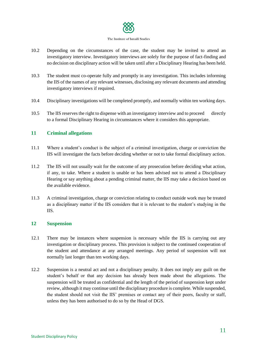

- 10.2 Depending on the circumstances of the case, the student may be invited to attend an investigatory interview. Investigatory interviews are solely for the purpose of fact-finding and no decision on disciplinary action will be taken until after a Disciplinary Hearing has been held.
- 10.3 The student must co-operate fully and promptly in any investigation. This includes informing the IIS of the names of any relevant witnesses, disclosing any relevant documents and attending investigatory interviews if required.
- 10.4 Disciplinary investigations will be completed promptly, and normally within ten working days.
- 10.5 The IIS reserves the right to dispense with an investigatory interview and to proceed directly to a formal Disciplinary Hearing in circumstances where it considers this appropriate.

## **11 Criminal allegations**

- 11.1 Where a student's conduct is the subject of a criminal investigation, charge or conviction the IIS will investigate the facts before deciding whether or not to take formal disciplinary action.
- 11.2 The IIS will not usually wait for the outcome of any prosecution before deciding what action, if any, to take. Where a student is unable or has been advised not to attend a Disciplinary Hearing or say anything about a pending criminal matter, the IIS may take a decision based on the available evidence.
- 11.3 A criminal investigation, charge or conviction relating to conduct outside work may be treated as a disciplinary matter if the IIS considers that it is relevant to the student's studying in the IIS.

## **12 Suspension**

- 12.1 There may be instances where suspension is necessary while the IIS is carrying out any investigation or disciplinary process. This provision is subject to the continued cooperation of the student and attendance at any arranged meetings. Any period of suspension will not normally last longer than ten working days.
- 12.2 Suspension is a neutral act and not a disciplinary penalty. It does not imply any guilt on the student's behalf or that any decision has already been made about the allegations. The suspension will be treated as confidential and the length of the period of suspension kept under review, although it may continue until the disciplinary procedure is complete. While suspended, the student should not visit the IIS' premises or contact any of their peers, faculty or staff, unless they has been authorised to do so by the Head of DGS.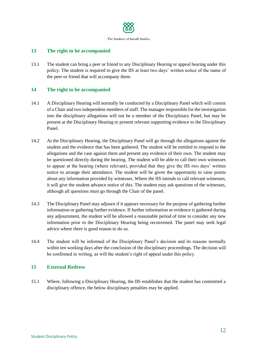

# **13 The right to be accompanied**

13.1 The student can bring a peer or friend to any Disciplinary Hearing or appeal hearing under this policy. The student is required to give the IIS at least two days' written notice of the name of the peer or friend that will accompany them.

# **14 The right to be accompanied**

- 14.1 A Disciplinary Hearing will normally be conducted by a Disciplinary Panel which will consist of a Chair and two independent members of staff. The manager responsible for the investigation into the disciplinary allegations will not be a member of the Disciplinary Panel, but may be present at the Disciplinary Hearing to present relevant supporting evidence to the Disciplinary Panel.
- 14.2 At the Disciplinary Hearing, the Disciplinary Panel will go through the allegations against the student and the evidence that has been gathered. The student will be entitled to respond to the allegations and the case against them and present any evidence of their own. The student may be questioned directly during the hearing. The student will be able to call their own witnesses to appear at the hearing (where relevant), provided that they give the IIS two days' written notice to arrange their attendance. The student will be given the opportunity to raise points about any information provided by witnesses. Where the IIS intends to call relevant witnesses, it will give the student advance notice of this. The student may ask questions of the witnesses, although all questions must go through the Chair of the panel.
- 14.3 The Disciplinary Panel may adjourn if it appears necessary for the purpose of gathering further information or gathering further evidence. If further information or evidence is gathered during any adjournment, the student will be allowed a reasonable period of time to consider any new information prior to the Disciplinary Hearing being reconvened. The panel may seek legal advice where there is good reason to do so.
- 14.4 The student will be informed of the Disciplinary Panel's decision and its reasons normally within ten working days after the conclusion of the disciplinary proceedings. The decision will be confirmed in writing, as will the student's right of appeal under this policy.

## **15 External Redress**

15.1 Where, following a Disciplinary Hearing, the IIS establishes that the student has committed a disciplinary offence, the below disciplinary penalties may be applied.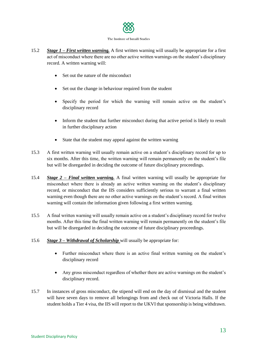

- 15.2 *Stage 1 – First written warning.* A first written warning will usually be appropriate for a first act of misconduct where there are no other active written warnings on the student's disciplinary record. A written warning will:
	- Set out the nature of the misconduct
	- Set out the change in behaviour required from the student
	- Specify the period for which the warning will remain active on the student's disciplinary record
	- Inform the student that further misconduct during that active period is likely to result in further disciplinary action
	- State that the student may appeal against the written warning
- 15.3 A first written warning will usually remain active on a student's disciplinary record for up to six months. After this time, the written warning will remain permanently on the student's file but will be disregarded in deciding the outcome of future disciplinary proceedings.
- 15.4 *Stage 2 – Final written warning.* A final written warning will usually be appropriate for misconduct where there is already an active written warning on the student's disciplinary record, or misconduct that the IIS considers sufficiently serious to warrant a final written warning even though there are no other active warnings on the student's record. A final written warning will contain the information given following a first written warning.
- 15.5 A final written warning will usually remain active on a student's disciplinary record for twelve months. After this time the final written warning will remain permanently on the student's file but will be disregarded in deciding the outcome of future disciplinary proceedings.
- 15.6 *Stage 3 – Withdrawal of Scholarship* will usually be appropriate for:
	- Further misconduct where there is an active final written warning on the student's disciplinary record
	- Any gross misconduct regardless of whether there are active warnings on the student's disciplinary record.
- 15.7 In instances of gross misconduct, the stipend will end on the day of dismissal and the student will have seven days to remove all belongings from and check out of Victoria Halls. If the student holds a Tier 4 visa, the IIS will report to the UKVI that sponsorship is being withdrawn.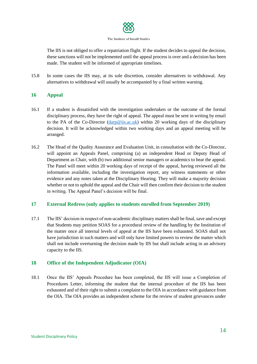

The IIS is not obliged to offer a repatriation flight. If the student decides to appeal the decision, these sanctions will not be implemented until the appeal process is over and a decision has been made. The student will be informed of appropriate timelines.

15.8 In some cases the IIS may, at its sole discretion, consider alternatives to withdrawal. Any alternatives to withdrawal will usually be accompanied by a final written warning.

# **16 Appeal**

- 16.1 If a student is dissatisfied with the investigation undertaken or the outcome of the formal disciplinary process, they have the right of appeal. The appeal must be sent in writing by email to the PA of the Co-Director ( $\frac{darp}{\omega}$ iis.ac.uk) within 20 working days of the disciplinary decision. It will be acknowledged within two working days and an appeal meeting will be arranged.
- 16.2 The Head of the Quality Assurance and Evaluation Unit, in consultation with the Co-Director, will appoint an Appeals Panel, comprising (a) an independent Head or Deputy Head of Department as Chair, with (b) two additional senior managers or academics to hear the appeal. The Panel will meet within 20 working days of receipt of the appeal, having reviewed all the information available, including the investigation report, any witness statements or other evidence and any notes taken at the Disciplinary Hearing. They will make a majority decision whether or not to uphold the appeal and the Chair will then confirm their decision to the student in writing. The Appeal Panel's decision will be final.

## **17 External Redress (only applies to students enrolled from September 2019)**

17.1 The IIS' decision in respect of non-academic disciplinary matters shall be final, save and except that Students may petition SOAS for a procedural review of the handling by the Institution of the matter once all internal levels of appeal at the IIS have been exhausted. SOAS shall not have jurisdiction in such matters and will only have limited powers to review the matter which shall not include overturning the decision made by IIS but shall include acting in an advisory capacity to the IIS.

## **18 Office of the Independent Adjudicator (OIA)**

18.1 Once the IIS' Appeals Procedure has been completed, the IIS will issue a Completion of Procedures Letter, informing the student that the internal procedure of the IIS has been exhausted and of their right to submit a complaint to the OIA in accordance with guidance from the OIA. The OIA provides an independent scheme for the review of student grievances under